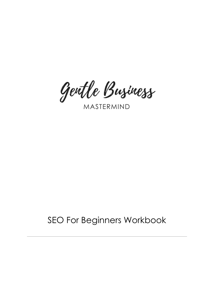Gentle Buziness

# SEO For Beginners Workbook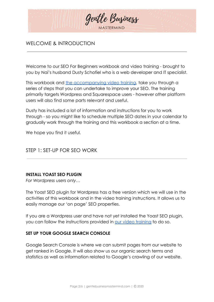

## WELCOME & INTRODUCTION

Welcome to our SEO For Beginners workbook and video training - brought to you by Nai's husband Dusty Schofiel who is a web developer and IT specialist.

This workbook and [the accompanying video training](https://gentlebusinessmastermind.com/seo-for-beginners/), take you through a series of steps that you can undertake to improve your SEO. The training primarily targets Wordpress and Squarespace users - however other platform users will also find some parts relevant and useful.

Dusty has included a lot of information and instructions for you to work through - so you might like to schedule multiple SEO dates in your calendar to gradually work through the training and this workbook a section at a time.

We hope you find it useful.

### STEP 1: SET-UP FOR SEO WORK

#### **INSTALL YOAST SEO PLUGIN**

*For Wordpress users only…*

The Yoast SEO plugin for Wordpress has a free version which we will use in the activities of this workbook and in the video training instructions. It allows us to easily manage our 'on page' SEO properties.

If you are a Wordpress user and have not yet installed the Yoast SEO plugin, you can follow the instructions provided in [our video training](https://gentlebusinessmastermind.com/seo-for-beginners/) to do so.

#### **SET UP YOUR GOOGLE SEARCH CONSOLE**

Google Search Console is where we can submit pages from our website to get ranked in Google. It will also show us our organic search terms and statistics as well as information related to Google's crawling of our website.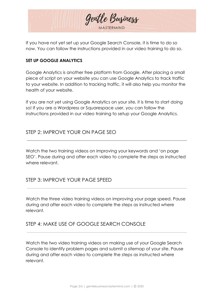

If you have not yet set up your Google Search Console, it is time to do so now. You can follow the instructions provided in our video training to do so.

## **SET UP GOOGLE ANALYTICS**

Google Analytics is another free platform from Google. After placing a small piece of script on your website you can use Google Analytics to track traffic to your website. In addition to tracking traffic, it will also help you monitor the health of your website.

If you are not yet using Google Analytics on your site, it is time to start doing so! If you are a Wordpress or Squarespace user, you can follow the instructions provided in our video training to setup your Google Analytics.

## STEP 2: IMPROVE YOUR ON PAGE SEO

Watch the two training videos on improving your keywords and 'on page SEO'. Pause during and after each video to complete the steps as instructed where relevant.

## STEP 3: IMPROVE YOUR PAGE SPEED

Watch the three video training videos on improving your page speed. Pause during and after each video to complete the steps as instructed where relevant.

## STEP 4: MAKE USE OF GOOGLE SEARCH CONSOLE

Watch the two video training videos on making use of your Google Search Console to identify problem pages and submit a sitemap of your site. Pause during and after each video to complete the steps as instructed where relevant.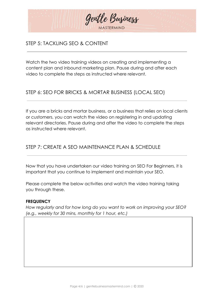

## STEP 5: TACKLING SEO & CONTENT

Watch the two video training videos on creating and implementing a content plan and inbound marketing plan. Pause during and after each video to complete the steps as instructed where relevant.

# STEP 6: SEO FOR BRICKS & MORTAR BUSINESS (LOCAL SEO)

If you are a bricks and mortar business, or a business that relies on local clients or customers, you can watch the video on registering in and updating relevant directories. Pause during and after the video to complete the steps as instructed where relevant.

## STEP 7: CREATE A SEO MAINTENANCE PLAN & SCHEDULE

Now that you have undertaken our video training on SEO For Beginners, it is important that you continue to implement and maintain your SEO.

Please complete the below activities and watch the video training taking you through these.

#### **FREQUENCY**

*How regularly and for how long do you want to work on improving your SEO? (e.g., weekly for 30 mins, monthly for 1 hour, etc.)*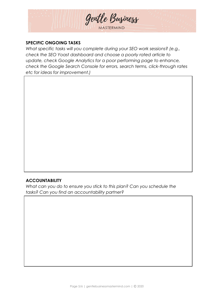

#### **SPECIFIC ONGOING TASKS**

*What specific tasks will you complete during your SEO work sessions? (e.g., check the SEO Yoast dashboard and choose a poorly rated article to update, check Google Analytics for a poor performing page to enhance, check the Google Search Console for errors, search terms, click-through rates etc for ideas for improvement.)*

#### **ACCOUNTABILITY**

*What can you do to ensure you stick to this plan? Can you schedule the tasks? Can you find an accountability partner?*